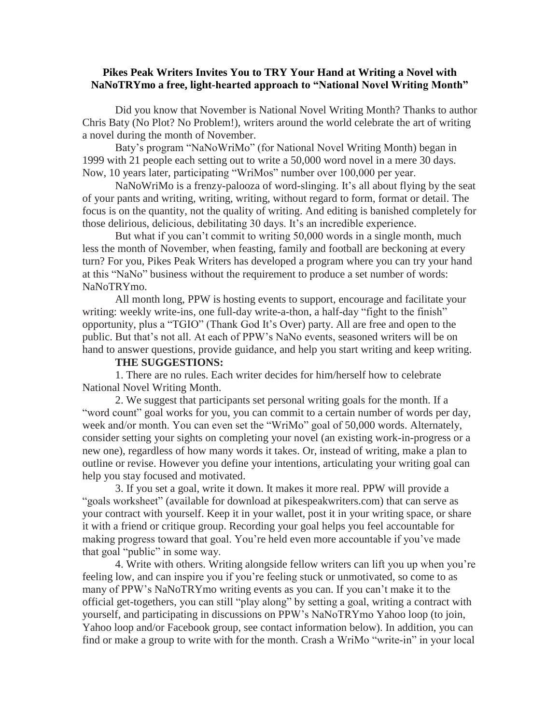## **Pikes Peak Writers Invites You to TRY Your Hand at Writing a Novel with NaNoTRYmo a free, light-hearted approach to "National Novel Writing Month"**

Did you know that November is National Novel Writing Month? Thanks to author Chris Baty (No Plot? No Problem!), writers around the world celebrate the art of writing a novel during the month of November.

Baty's program "NaNoWriMo" (for National Novel Writing Month) began in 1999 with 21 people each setting out to write a 50,000 word novel in a mere 30 days. Now, 10 years later, participating "WriMos" number over 100,000 per year.

NaNoWriMo is a frenzy-palooza of word-slinging. It's all about flying by the seat of your pants and writing, writing, writing, without regard to form, format or detail. The focus is on the quantity, not the quality of writing. And editing is banished completely for those delirious, delicious, debilitating 30 days. It's an incredible experience.

But what if you can't commit to writing 50,000 words in a single month, much less the month of November, when feasting, family and football are beckoning at every turn? For you, Pikes Peak Writers has developed a program where you can try your hand at this "NaNo" business without the requirement to produce a set number of words: NaNoTRYmo.

All month long, PPW is hosting events to support, encourage and facilitate your writing: weekly write-ins, one full-day write-a-thon, a half-day "fight to the finish" opportunity, plus a "TGIO" (Thank God It's Over) party. All are free and open to the public. But that's not all. At each of PPW's NaNo events, seasoned writers will be on hand to answer questions, provide guidance, and help you start writing and keep writing.

## **THE SUGGESTIONS:**

1. There are no rules. Each writer decides for him/herself how to celebrate National Novel Writing Month.

2. We suggest that participants set personal writing goals for the month. If a "word count" goal works for you, you can commit to a certain number of words per day, week and/or month. You can even set the "WriMo" goal of 50,000 words. Alternately, consider setting your sights on completing your novel (an existing work-in-progress or a new one), regardless of how many words it takes. Or, instead of writing, make a plan to outline or revise. However you define your intentions, articulating your writing goal can help you stay focused and motivated.

3. If you set a goal, write it down. It makes it more real. PPW will provide a "goals worksheet" (available for download at pikespeakwriters.com) that can serve as your contract with yourself. Keep it in your wallet, post it in your writing space, or share it with a friend or critique group. Recording your goal helps you feel accountable for making progress toward that goal. You're held even more accountable if you've made that goal "public" in some way.

4. Write with others. Writing alongside fellow writers can lift you up when you're feeling low, and can inspire you if you're feeling stuck or unmotivated, so come to as many of PPW's NaNoTRYmo writing events as you can. If you can't make it to the official get-togethers, you can still "play along" by setting a goal, writing a contract with yourself, and participating in discussions on PPW's NaNoTRYmo Yahoo loop (to join, Yahoo loop and/or Facebook group, see contact information below). In addition, you can find or make a group to write with for the month. Crash a WriMo "write-in" in your local